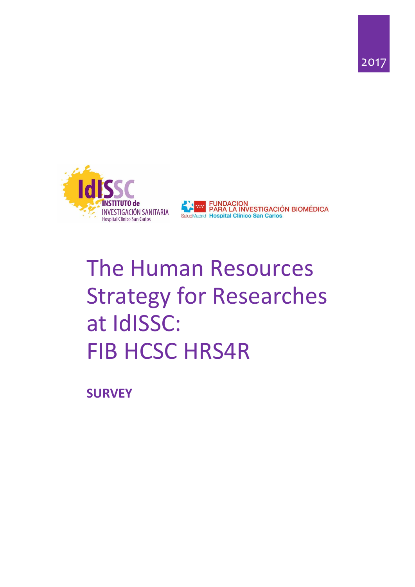





# The Human Resources Strategy for Researches at IdISSC: FIB HCSC HRS4R

**SURVEY**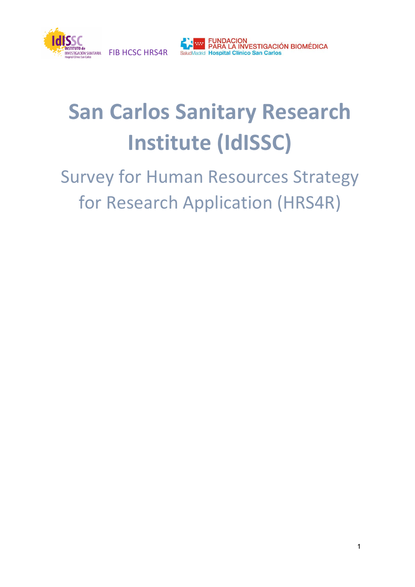



# **San Carlos Sanitary Research Institute (IdISSC)**

# Survey for Human Resources Strategy for Research Application (HRS4R)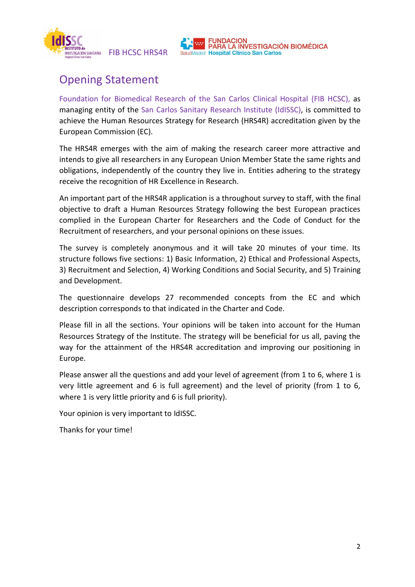



# Opening Statement

Foundation for Biomedical Research of the San Carlos Clinical Hospital (FIB HCSC), as managing entity of the San Carlos Sanitary Research Institute (IdISSC), is committed to achieve the Human Resources Strategy for Research (HRS4R) accreditation given by the European Commission (EC).

The HRS4R emerges with the aim of making the research career more attractive and intends to give all researchers in any European Union Member State the same rights and obligations, independently of the country they live in. Entities adhering to the strategy receive the recognition of HR Excellence in Research.

An important part of the HRS4R application is a throughout survey to staff, with the final objective to draft a Human Resources Strategy following the best European practices complied in the European Charter for Researchers and the Code of Conduct for the Recruitment of researchers, and your personal opinions on these issues.

The survey is completely anonymous and it will take 20 minutes of your time. Its structure follows five sections: 1) Basic Information, 2) Ethical and Professional Aspects, 3) Recruitment and Selection, 4) Working Conditions and Social Security, and 5) Training and Development.

The questionnaire develops 27 recommended concepts from the EC and which description corresponds to that indicated in the Charter and Code.

Please fill in all the sections. Your opinions will be taken into account for the Human Resources Strategy of the Institute. The strategy will be beneficial for us all, paving the way for the attainment of the HRS4R accreditation and improving our positioning in Europe.

Please answer all the questions and add your level of agreement (from 1 to 6, where 1 is very little agreement and 6 is full agreement) and the level of priority (from 1 to 6, where 1 is very little priority and 6 is full priority).

Your opinion is very important to IdISSC.

Thanks for your time!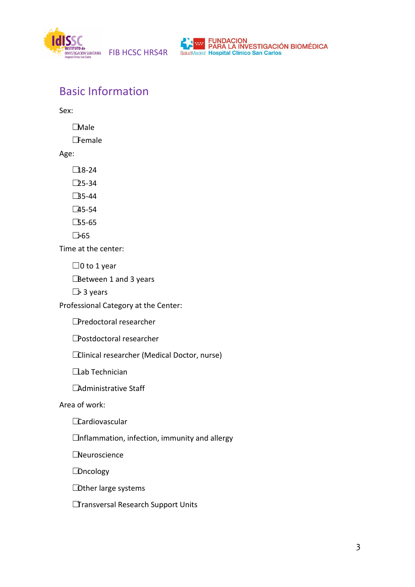



## Basic Information

Sex:

☐Male

☐Female

Age:

 $\square$ 18-24

☐25-34

☐35-44

 $\square$ 45-54

 $\square$ 55-65

☐>65

Time at the center:

 $\Box$ 0 to 1 year

**□Between 1 and 3 years** 

☐> 3 years

Professional Category at the Center:

☐Predoctoral researcher

☐Postdoctoral researcher

☐Clinical researcher (Medical Doctor, nurse)

**□Lab Technician** 

□Administrative Staff

Area of work:

**Cardiovascular** 

 $\Box$ nflammation, infection, immunity and allergy

☐Neuroscience

**□**Oncology

☐Other large systems

☐Transversal Research Support Units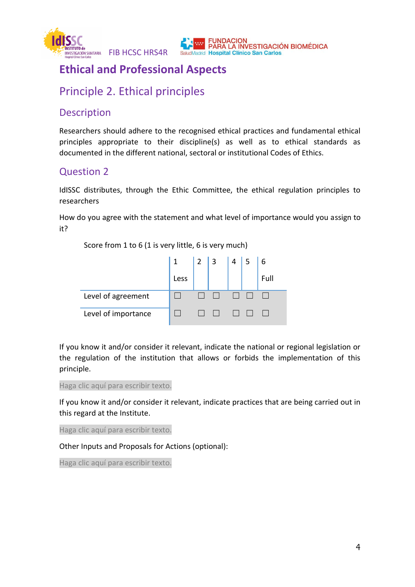



## **Ethical and Professional Aspects**

## Principle 2. Ethical principles

#### **Description**

Researchers should adhere to the recognised ethical practices and fundamental ethical principles appropriate to their discipline(s) as well as to ethical standards as documented in the different national, sectoral or institutional Codes of Ethics.

#### Question 2

IdISSC distributes, through the Ethic Committee, the ethical regulation principles to researchers

How do you agree with the statement and what level of importance would you assign to it?

Score from 1 to 6 (1 is very little, 6 is very much)



If you know it and/or consider it relevant, indicate the national or regional legislation or the regulation of the institution that allows or forbids the implementation of this principle.

Haga clic aquí para escribir texto.

If you know it and/or consider it relevant, indicate practices that are being carried out in this regard at the Institute.

Haga clic aquí para escribir texto.

Other Inputs and Proposals for Actions (optional):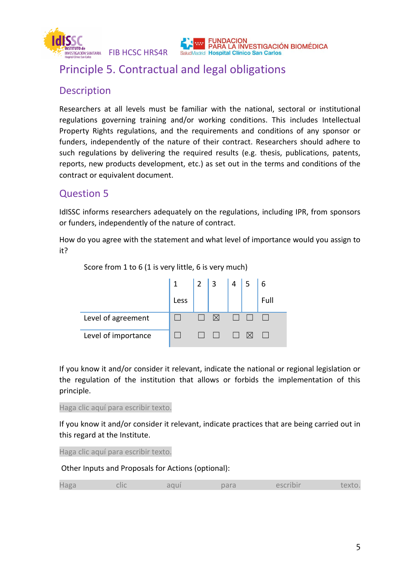

## Principle 5. Contractual and legal obligations

### Description

Researchers at all levels must be familiar with the national, sectoral or institutional regulations governing training and/or working conditions. This includes Intellectual Property Rights regulations, and the requirements and conditions of any sponsor or funders, independently of the nature of their contract. Researchers should adhere to such regulations by delivering the required results (e.g. thesis, publications, patents, reports, new products development, etc.) as set out in the terms and conditions of the contract or equivalent document.

PARA LA INVESTIGACIÓN BIOMÉDICA

### Question 5

IdISSC informs researchers adequately on the regulations, including IPR, from sponsors or funders, independently of the nature of contract.

How do you agree with the statement and what level of importance would you assign to it?



Score from 1 to 6 (1 is very little, 6 is very much)

If you know it and/or consider it relevant, indicate the national or regional legislation or the regulation of the institution that allows or forbids the implementation of this principle.

Haga clic aquí para escribir texto.

If you know it and/or consider it relevant, indicate practices that are being carried out in this regard at the Institute.

Haga clic aquí para escribir texto.

|  | Haga | clic | aqui | para | escribir | text |
|--|------|------|------|------|----------|------|
|--|------|------|------|------|----------|------|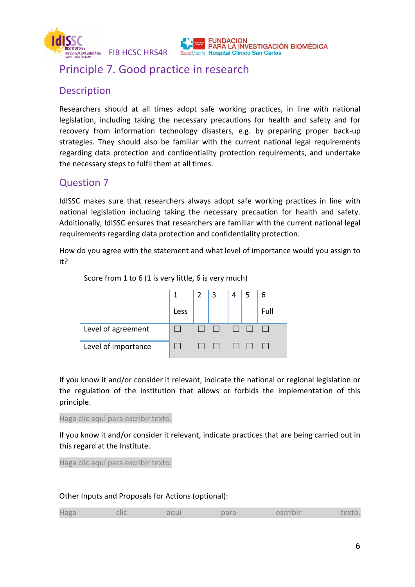

## Principle 7. Good practice in research

#### Description

Researchers should at all times adopt safe working practices, in line with national legislation, including taking the necessary precautions for health and safety and for recovery from information technology disasters, e.g. by preparing proper back-up strategies. They should also be familiar with the current national legal requirements regarding data protection and confidentiality protection requirements, and undertake the necessary steps to fulfil them at all times.

PARA LA INVESTIGACIÓN BIOMÉDICA

#### Question 7

IdISSC makes sure that researchers always adopt safe working practices in line with national legislation including taking the necessary precaution for health and safety. Additionally, IdISSC ensures that researchers are familiar with the current national legal requirements regarding data protection and confidentiality protection.

How do you agree with the statement and what level of importance would you assign to it?



If you know it and/or consider it relevant, indicate the national or regional legislation or the regulation of the institution that allows or forbids the implementation of this principle.

Haga clic aquí para escribir texto.

If you know it and/or consider it relevant, indicate practices that are being carried out in this regard at the Institute.

Haga clic aquí para escribir texto.

| __<br>H <sub>a</sub> ga | ╷╷╷ | $\sqrt{ }$ | uıu |  |
|-------------------------|-----|------------|-----|--|
|                         |     |            |     |  |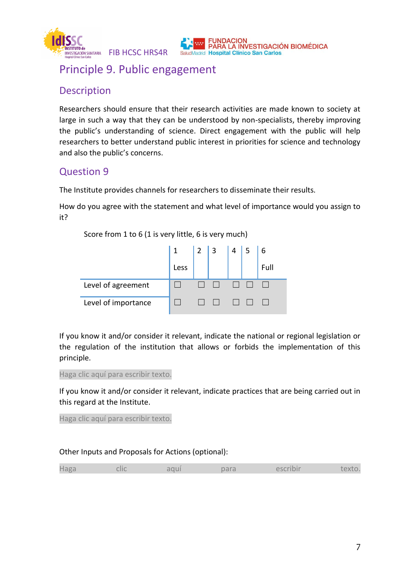

## Principle 9. Public engagement

#### Description

Researchers should ensure that their research activities are made known to society at large in such a way that they can be understood by non-specialists, thereby improving the public's understanding of science. Direct engagement with the public will help researchers to better understand public interest in priorities for science and technology and also the public's concerns.

### Question 9

The Institute provides channels for researchers to disseminate their results.

How do you agree with the statement and what level of importance would you assign to it?

Score from 1 to 6 (1 is very little, 6 is very much)

|                     | $\overline{1}$ | <b>2</b> l | 3 <sup>1</sup> | 4 | 6    |
|---------------------|----------------|------------|----------------|---|------|
|                     | Less           |            |                |   | Full |
| Level of agreement  |                |            |                |   |      |
| Level of importance |                |            |                |   |      |

If you know it and/or consider it relevant, indicate the national or regional legislation or the regulation of the institution that allows or forbids the implementation of this principle.

Haga clic aquí para escribir texto.

If you know it and/or consider it relevant, indicate practices that are being carried out in this regard at the Institute.

Haga clic aquí para escribir texto.

|  |  | <b>COMPANY</b> |  |  |  |  |
|--|--|----------------|--|--|--|--|
|--|--|----------------|--|--|--|--|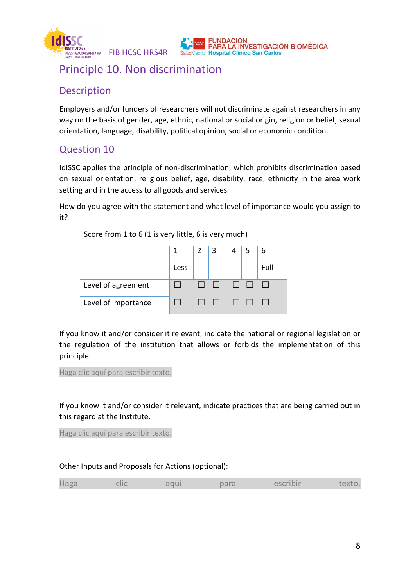

## Principle 10. Non discrimination

## Description

Employers and/or funders of researchers will not discriminate against researchers in any way on the basis of gender, age, ethnic, national or social origin, religion or belief, sexual orientation, language, disability, political opinion, social or economic condition.

**NDACION** 

**Madrid Hospital Clínico San Carlos** 

PARA LA INVESTIGACIÓN BIOMÉDICA

## Question 10

IdISSC applies the principle of non-discrimination, which prohibits discrimination based on sexual orientation, religious belief, age, disability, race, ethnicity in the area work setting and in the access to all goods and services.

How do you agree with the statement and what level of importance would you assign to it?

Score from 1 to 6 (1 is very little, 6 is very much)

|                     |      | $\vert$ 2 | 3 <sup>1</sup> | 4 | 6    |
|---------------------|------|-----------|----------------|---|------|
|                     | Less |           |                |   | Full |
| Level of agreement  |      |           |                |   |      |
| Level of importance |      |           |                |   |      |

If you know it and/or consider it relevant, indicate the national or regional legislation or the regulation of the institution that allows or forbids the implementation of this principle.

Haga clic aquí para escribir texto.

If you know it and/or consider it relevant, indicate practices that are being carried out in this regard at the Institute.

Haga clic aquí para escribir texto.

|  | Haga | clic | aqui | para | escribir | texto. |
|--|------|------|------|------|----------|--------|
|--|------|------|------|------|----------|--------|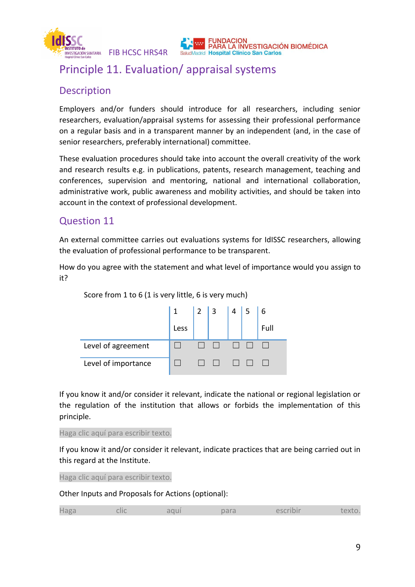

## Principle 11. Evaluation/ appraisal systems

#### **Description**

Employers and/or funders should introduce for all researchers, including senior researchers, evaluation/appraisal systems for assessing their professional performance on a regular basis and in a transparent manner by an independent (and, in the case of senior researchers, preferably international) committee.

PARA LA INVESTIGACIÓN BIOMÉDICA

**Aadrid Hospital Clínico San Carlos** 

These evaluation procedures should take into account the overall creativity of the work and research results e.g. in publications, patents, research management, teaching and conferences, supervision and mentoring, national and international collaboration, administrative work, public awareness and mobility activities, and should be taken into account in the context of professional development.

#### Question 11

An external committee carries out evaluations systems for IdISSC researchers, allowing the evaluation of professional performance to be transparent.

How do you agree with the statement and what level of importance would you assign to it?



Score from 1 to 6 (1 is very little, 6 is very much)

If you know it and/or consider it relevant, indicate the national or regional legislation or the regulation of the institution that allows or forbids the implementation of this principle.

Haga clic aquí para escribir texto.

If you know it and/or consider it relevant, indicate practices that are being carried out in this regard at the Institute.

Haga clic aquí para escribir texto.

|--|--|--|--|--|--|--|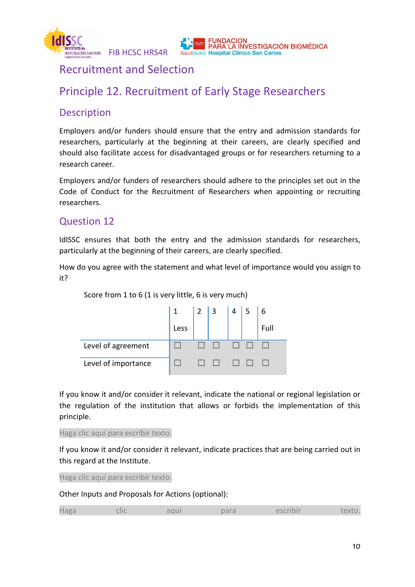

## Recruitment and Selection

# Principle 12. Recruitment of Early Stage Researchers

#### **Description**

Employers and/or funders should ensure that the entry and admission standards for researchers, particularly at the beginning at their careers, are clearly specified and should also facilitate access for disadvantaged groups or for researchers returning to a research career.

Employers and/or funders of researchers should adhere to the principles set out in the Code of Conduct for the Recruitment of Researchers when appointing or recruiting researchers.

#### Question 12

IdISSC ensures that both the entry and the admission standards for researchers, particularly at the beginning of their careers, are clearly specified.

How do you agree with the statement and what level of importance would you assign to it?



Score from 1 to 6 (1 is very little, 6 is very much)

If you know it and/or consider it relevant, indicate the national or regional legislation or the regulation of the institution that allows or forbids the implementation of this principle.

Haga clic aquí para escribir texto.

If you know it and/or consider it relevant, indicate practices that are being carried out in this regard at the Institute.

Haga clic aquí para escribir texto.

|  |  | . |  |  |  |  |
|--|--|---|--|--|--|--|
|--|--|---|--|--|--|--|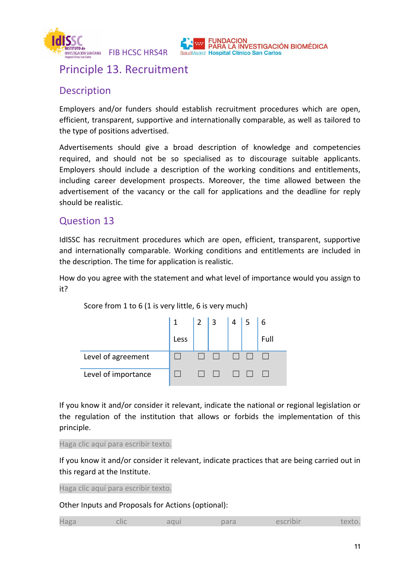



## Principle 13. Recruitment

#### Description

Employers and/or funders should establish recruitment procedures which are open, efficient, transparent, supportive and internationally comparable, as well as tailored to the type of positions advertised.

Advertisements should give a broad description of knowledge and competencies required, and should not be so specialised as to discourage suitable applicants. Employers should include a description of the working conditions and entitlements, including career development prospects. Moreover, the time allowed between the advertisement of the vacancy or the call for applications and the deadline for reply should be realistic.

#### Question 13

IdISSC has recruitment procedures which are open, efficient, transparent, supportive and internationally comparable. Working conditions and entitlements are included in the description. The time for application is realistic.

How do you agree with the statement and what level of importance would you assign to it?



Score from 1 to 6 (1 is very little, 6 is very much)

If you know it and/or consider it relevant, indicate the national or regional legislation or the regulation of the institution that allows or forbids the implementation of this principle.

Haga clic aquí para escribir texto.

If you know it and/or consider it relevant, indicate practices that are being carried out in this regard at the Institute.

Haga clic aquí para escribir texto.

|  | Hagz | $\sim$<br>снс | чь<br>J U I | <b>COMMENT</b><br>Dai d | -- |  |
|--|------|---------------|-------------|-------------------------|----|--|
|--|------|---------------|-------------|-------------------------|----|--|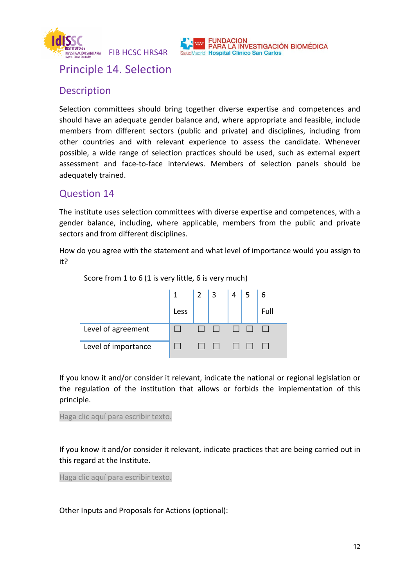



Principle 14. Selection

### Description

Selection committees should bring together diverse expertise and competences and should have an adequate gender balance and, where appropriate and feasible, include members from different sectors (public and private) and disciplines, including from other countries and with relevant experience to assess the candidate. Whenever possible, a wide range of selection practices should be used, such as external expert assessment and face-to-face interviews. Members of selection panels should be adequately trained.

### Question 14

The institute uses selection committees with diverse expertise and competences, with a gender balance, including, where applicable, members from the public and private sectors and from different disciplines.

How do you agree with the statement and what level of importance would you assign to it?



If you know it and/or consider it relevant, indicate the national or regional legislation or the regulation of the institution that allows or forbids the implementation of this principle.

Haga clic aquí para escribir texto.

If you know it and/or consider it relevant, indicate practices that are being carried out in this regard at the Institute.

Haga clic aquí para escribir texto.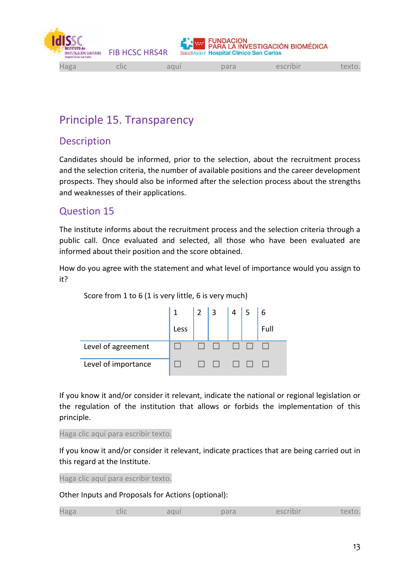

# Principle 15. Transparency

### Description

Candidates should be informed, prior to the selection, about the recruitment process and the selection criteria, the number of available positions and the career development prospects. They should also be informed after the selection process about the strengths and weaknesses of their applications.

#### Question 15

The institute informs about the recruitment process and the selection criteria through a public call. Once evaluated and selected, all those who have been evaluated are informed about their position and the score obtained.

How do you agree with the statement and what level of importance would you assign to it?



Score from 1 to 6 (1 is very little, 6 is very much)

If you know it and/or consider it relevant, indicate the national or regional legislation or the regulation of the institution that allows or forbids the implementation of this principle.

Haga clic aquí para escribir texto.

If you know it and/or consider it relevant, indicate practices that are being carried out in this regard at the Institute.

Haga clic aquí para escribir texto.

|  | laga<br>$\tilde{}$ | CIIC | <b>Contract Contract Contract</b><br>uui | par <sup>-</sup><br>11 <sup>2</sup> | المتقاط فمصدرها<br>$\sim$ | <b>STATE</b> |
|--|--------------------|------|------------------------------------------|-------------------------------------|---------------------------|--------------|
|--|--------------------|------|------------------------------------------|-------------------------------------|---------------------------|--------------|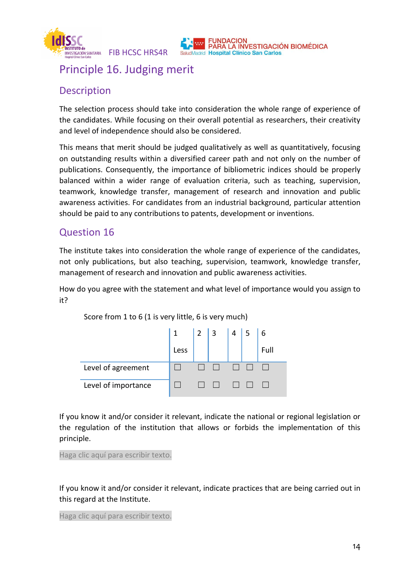

## Principle 16. Judging merit

### Description

The selection process should take into consideration the whole range of experience of the candidates. While focusing on their overall potential as researchers, their creativity and level of independence should also be considered.

**NDACION** 

PARA LA INVESTIGACIÓN BIOMÉDICA

This means that merit should be judged qualitatively as well as quantitatively, focusing on outstanding results within a diversified career path and not only on the number of publications. Consequently, the importance of bibliometric indices should be properly balanced within a wider range of evaluation criteria, such as teaching, supervision, teamwork, knowledge transfer, management of research and innovation and public awareness activities. For candidates from an industrial background, particular attention should be paid to any contributions to patents, development or inventions.

#### Question 16

The institute takes into consideration the whole range of experience of the candidates, not only publications, but also teaching, supervision, teamwork, knowledge transfer, management of research and innovation and public awareness activities.

How do you agree with the statement and what level of importance would you assign to it?

|                     |      | $\vert 2 \vert 3$ | $4 \mid 5$ | 6    |
|---------------------|------|-------------------|------------|------|
|                     | Less |                   |            | Full |
| Level of agreement  |      |                   |            |      |
| Level of importance |      | $\mathsf{L}$      |            |      |

Score from 1 to 6 (1 is very little, 6 is very much)

If you know it and/or consider it relevant, indicate the national or regional legislation or the regulation of the institution that allows or forbids the implementation of this principle.

Haga clic aquí para escribir texto.

If you know it and/or consider it relevant, indicate practices that are being carried out in this regard at the Institute.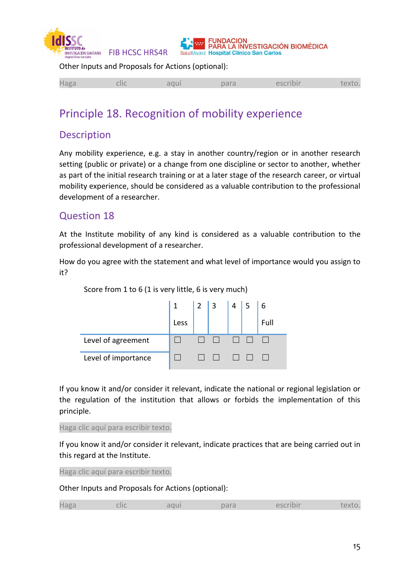



Other Inputs and Proposals for Actions (optional):

|--|--|--|--|--|--|--|

## Principle 18. Recognition of mobility experience

### Description

Any mobility experience, e.g. a stay in another country/region or in another research setting (public or private) or a change from one discipline or sector to another, whether as part of the initial research training or at a later stage of the research career, or virtual mobility experience, should be considered as a valuable contribution to the professional development of a researcher.

#### Question 18

At the Institute mobility of any kind is considered as a valuable contribution to the professional development of a researcher.

How do you agree with the statement and what level of importance would you assign to it?



If you know it and/or consider it relevant, indicate the national or regional legislation or the regulation of the institution that allows or forbids the implementation of this principle.

Haga clic aquí para escribir texto.

If you know it and/or consider it relevant, indicate practices that are being carried out in this regard at the Institute.

Haga clic aquí para escribir texto.

| $\cap$ $\cap$ | . |  |  |  |  |
|---------------|---|--|--|--|--|
|---------------|---|--|--|--|--|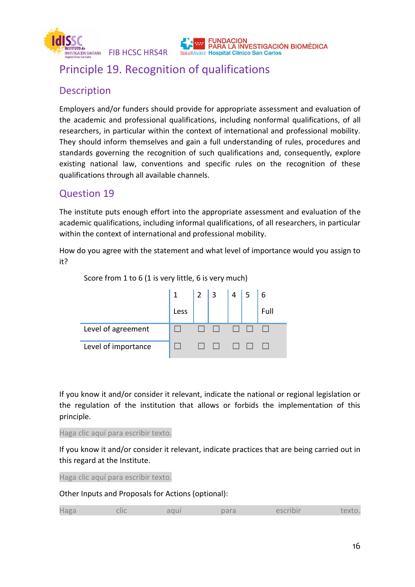

# Principle 19. Recognition of qualifications

## Description

Employers and/or funders should provide for appropriate assessment and evaluation of the academic and professional qualifications, including nonformal qualifications, of all researchers, in particular within the context of international and professional mobility. They should inform themselves and gain a full understanding of rules, procedures and standards governing the recognition of such qualifications and, consequently, explore existing national law, conventions and specific rules on the recognition of these qualifications through all available channels.

ARA LA INVESTIGACIÓN BIOMÉDICA

## Question 19

The institute puts enough effort into the appropriate assessment and evaluation of the academic qualifications, including informal qualifications, of all researchers, in particular within the context of international and professional mobility.

How do you agree with the statement and what level of importance would you assign to it?



If you know it and/or consider it relevant, indicate the national or regional legislation or the regulation of the institution that allows or forbids the implementation of this principle.

Haga clic aquí para escribir texto.

If you know it and/or consider it relevant, indicate practices that are being carried out in this regard at the Institute.

Haga clic aquí para escribir texto.

Other Inputs and Proposals for Actions (optional):

|--|--|--|--|--|--|--|

Score from 1 to 6 (1 is very little, 6 is very much)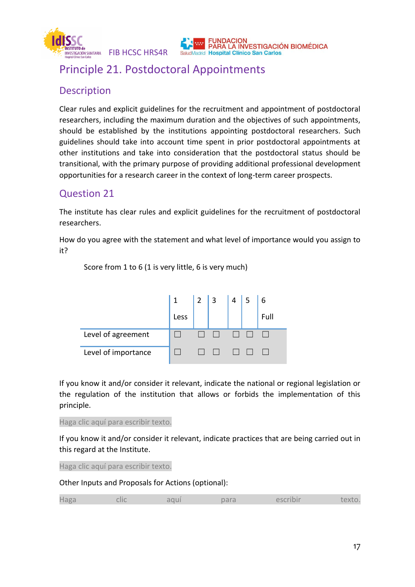

# Principle 21. Postdoctoral Appointments

## Description

Clear rules and explicit guidelines for the recruitment and appointment of postdoctoral researchers, including the maximum duration and the objectives of such appointments, should be established by the institutions appointing postdoctoral researchers. Such guidelines should take into account time spent in prior postdoctoral appointments at other institutions and take into consideration that the postdoctoral status should be transitional, with the primary purpose of providing additional professional development opportunities for a research career in the context of long-term career prospects.

PARA LA INVESTIGACIÓN BIOMÉDICA

## Question 21

The institute has clear rules and explicit guidelines for the recruitment of postdoctoral researchers.

How do you agree with the statement and what level of importance would you assign to it?



Score from 1 to 6 (1 is very little, 6 is very much)

If you know it and/or consider it relevant, indicate the national or regional legislation or the regulation of the institution that allows or forbids the implementation of this principle.

Haga clic aquí para escribir texto.

If you know it and/or consider it relevant, indicate practices that are being carried out in this regard at the Institute.

Haga clic aquí para escribir texto.

|  | Haga | <b>College College</b><br>--- |  | $\sim$ | $\sim$ | πх. |
|--|------|-------------------------------|--|--------|--------|-----|
|--|------|-------------------------------|--|--------|--------|-----|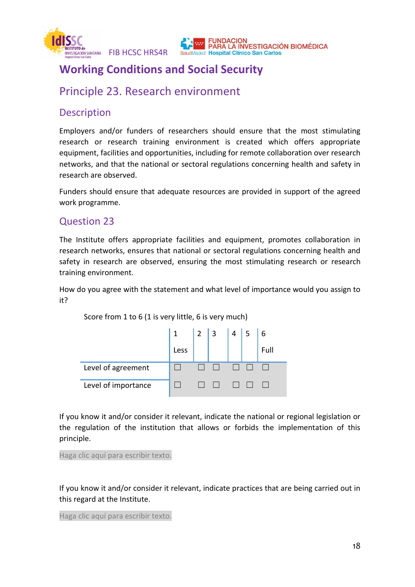

#### **IDACION** PARA LA INVESTIGACIÓN BIOMÉDICA **Aadrid Hospital Clínico San Carlos**

# **Working Conditions and Social Security**

## Principle 23. Research environment

#### **Description**

Employers and/or funders of researchers should ensure that the most stimulating research or research training environment is created which offers appropriate equipment, facilities and opportunities, including for remote collaboration over research networks, and that the national or sectoral regulations concerning health and safety in research are observed.

Funders should ensure that adequate resources are provided in support of the agreed work programme.

#### Question 23

The Institute offers appropriate facilities and equipment, promotes collaboration in research networks, ensures that national or sectoral regulations concerning health and safety in research are observed, ensuring the most stimulating research or research training environment.

How do you agree with the statement and what level of importance would you assign to it?

|                     | $\mathbf{1}$ | $\vert 2 \vert 3$ | $\overline{4}$ |      |
|---------------------|--------------|-------------------|----------------|------|
|                     | Less         |                   |                | Full |
| Level of agreement  |              |                   |                |      |
| Level of importance |              |                   |                |      |

Score from 1 to 6 (1 is very little, 6 is very much)

If you know it and/or consider it relevant, indicate the national or regional legislation or the regulation of the institution that allows or forbids the implementation of this principle.

Haga clic aquí para escribir texto.

If you know it and/or consider it relevant, indicate practices that are being carried out in this regard at the Institute.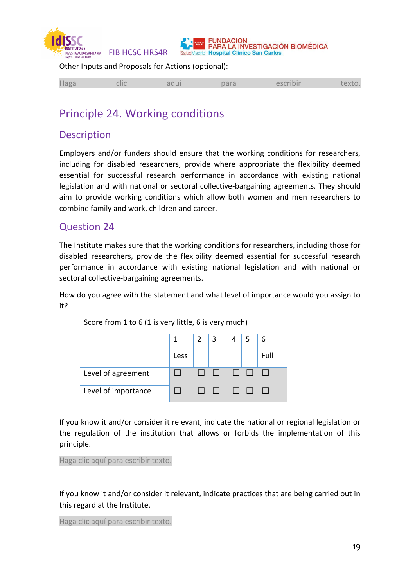



Other Inputs and Proposals for Actions (optional):

|  | __<br>эσ |  |  | $\sim$ |  |  |
|--|----------|--|--|--------|--|--|
|--|----------|--|--|--------|--|--|

## Principle 24. Working conditions

#### Description

Employers and/or funders should ensure that the working conditions for researchers, including for disabled researchers, provide where appropriate the flexibility deemed essential for successful research performance in accordance with existing national legislation and with national or sectoral collective-bargaining agreements. They should aim to provide working conditions which allow both women and men researchers to combine family and work, children and career.

#### Question 24

The Institute makes sure that the working conditions for researchers, including those for disabled researchers, provide the flexibility deemed essential for successful research performance in accordance with existing national legislation and with national or sectoral collective-bargaining agreements.

How do you agree with the statement and what level of importance would you assign to it?

Score from 1 to 6 (1 is very little, 6 is very much)

|                     | $\cdot$ 1 | $\vert 2 \vert 3$ | 4 <sup>4</sup> |      |
|---------------------|-----------|-------------------|----------------|------|
|                     | Less      |                   |                | Full |
| Level of agreement  |           |                   |                |      |
| Level of importance |           |                   |                |      |

If you know it and/or consider it relevant, indicate the national or regional legislation or the regulation of the institution that allows or forbids the implementation of this principle.

Haga clic aquí para escribir texto.

If you know it and/or consider it relevant, indicate practices that are being carried out in this regard at the Institute.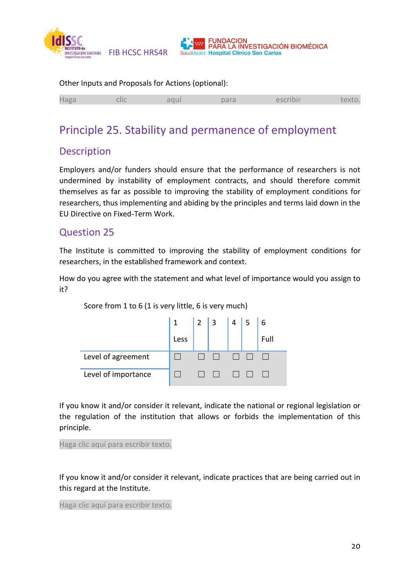

| Other Inputs and Proposals for Actions (optional): |      |      |      |          |        |
|----------------------------------------------------|------|------|------|----------|--------|
| Haga                                               | clic | aqui | para | escribir | texto. |

# Principle 25. Stability and permanence of employment

### Description

Employers and/or funders should ensure that the performance of researchers is not undermined by instability of employment contracts, and should therefore commit themselves as far as possible to improving the stability of employment conditions for researchers, thus implementing and abiding by the principles and terms laid down in the EU Directive on Fixed-Term Work.

#### Question 25

The Institute is committed to improving the stability of employment conditions for researchers, in the established framework and context.

How do you agree with the statement and what level of importance would you assign to it?



Score from 1 to 6 (1 is very little, 6 is very much)

If you know it and/or consider it relevant, indicate the national or regional legislation or the regulation of the institution that allows or forbids the implementation of this principle.

Haga clic aquí para escribir texto.

If you know it and/or consider it relevant, indicate practices that are being carried out in this regard at the Institute.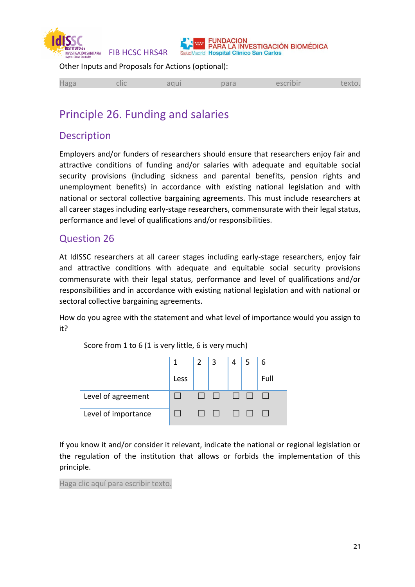



Other Inputs and Proposals for Actions (optional):

|--|--|--|--|--|--|--|

## Principle 26. Funding and salaries

#### Description

Employers and/or funders of researchers should ensure that researchers enjoy fair and attractive conditions of funding and/or salaries with adequate and equitable social security provisions (including sickness and parental benefits, pension rights and unemployment benefits) in accordance with existing national legislation and with national or sectoral collective bargaining agreements. This must include researchers at all career stages including early-stage researchers, commensurate with their legal status, performance and level of qualifications and/or responsibilities.

#### Question 26

At IdISSC researchers at all career stages including early-stage researchers, enjoy fair and attractive conditions with adequate and equitable social security provisions commensurate with their legal status, performance and level of qualifications and/or responsibilities and in accordance with existing national legislation and with national or sectoral collective bargaining agreements.

How do you agree with the statement and what level of importance would you assign to it?

Score from 1 to 6 (1 is very little, 6 is very much)

|                     |      | $\begin{array}{ c c c c c }\n\hline\n2 & 3\n\end{array}$ | $4 \mid 5$ | 6    |
|---------------------|------|----------------------------------------------------------|------------|------|
|                     | Less |                                                          |            | Full |
| Level of agreement  |      |                                                          |            |      |
| Level of importance |      |                                                          |            |      |

If you know it and/or consider it relevant, indicate the national or regional legislation or the regulation of the institution that allows or forbids the implementation of this principle.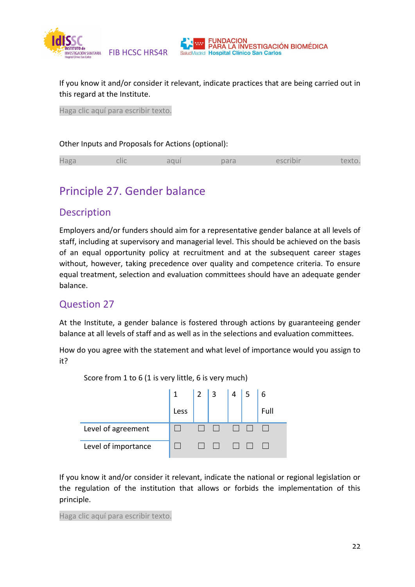

If you know it and/or consider it relevant, indicate practices that are being carried out in this regard at the Institute.

**INDACION** 

PARA LA INVESTIGACIÓN BIOMÉDICA

Haga clic aquí para escribir texto.

#### Other Inputs and Proposals for Actions (optional):

## Principle 27. Gender balance

#### **Description**

Employers and/or funders should aim for a representative gender balance at all levels of staff, including at supervisory and managerial level. This should be achieved on the basis of an equal opportunity policy at recruitment and at the subsequent career stages without, however, taking precedence over quality and competence criteria. To ensure equal treatment, selection and evaluation committees should have an adequate gender balance.

#### Question 27

At the Institute, a gender balance is fostered through actions by guaranteeing gender balance at all levels of staff and as well as in the selections and evaluation committees.

How do you agree with the statement and what level of importance would you assign to it?



Score from 1 to 6 (1 is very little, 6 is very much)

If you know it and/or consider it relevant, indicate the national or regional legislation or the regulation of the institution that allows or forbids the implementation of this principle.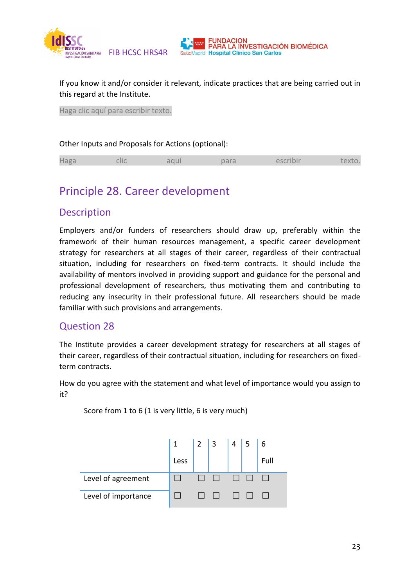

If you know it and/or consider it relevant, indicate practices that are being carried out in this regard at the Institute.

**INDACION** 

PARA LA INVESTIGACIÓN BIOMÉDICA

Haga clic aquí para escribir texto.

#### Other Inputs and Proposals for Actions (optional):

|--|--|--|--|--|--|--|

## Principle 28. Career development

#### **Description**

Employers and/or funders of researchers should draw up, preferably within the framework of their human resources management, a specific career development strategy for researchers at all stages of their career, regardless of their contractual situation, including for researchers on fixed-term contracts. It should include the availability of mentors involved in providing support and guidance for the personal and professional development of researchers, thus motivating them and contributing to reducing any insecurity in their professional future. All researchers should be made familiar with such provisions and arrangements.

#### Question 28

The Institute provides a career development strategy for researchers at all stages of their career, regardless of their contractual situation, including for researchers on fixedterm contracts.

How do you agree with the statement and what level of importance would you assign to it?



Score from 1 to 6 (1 is very little, 6 is very much)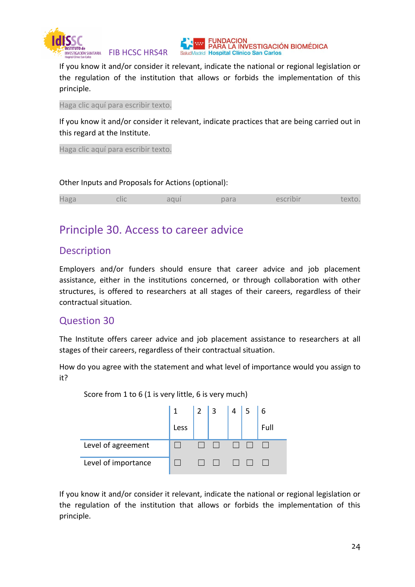



If you know it and/or consider it relevant, indicate the national or regional legislation or the regulation of the institution that allows or forbids the implementation of this principle.

Haga clic aquí para escribir texto.

If you know it and/or consider it relevant, indicate practices that are being carried out in this regard at the Institute.

Haga clic aquí para escribir texto.

#### Other Inputs and Proposals for Actions (optional):

| Haga<br>clic | aqui | para | escribir | texto. |
|--------------|------|------|----------|--------|
|--------------|------|------|----------|--------|

## Principle 30. Access to career advice

#### Description

Employers and/or funders should ensure that career advice and job placement assistance, either in the institutions concerned, or through collaboration with other structures, is offered to researchers at all stages of their careers, regardless of their contractual situation.

#### Question 30

The Institute offers career advice and job placement assistance to researchers at all stages of their careers, regardless of their contractual situation.

How do you agree with the statement and what level of importance would you assign to it?

|                     | Less | $\begin{array}{ c c c } \hline 2 & 3 \\ \hline \end{array}$ | $4 \mid 5$ | 6<br>Full |
|---------------------|------|-------------------------------------------------------------|------------|-----------|
| Level of agreement  |      |                                                             |            |           |
| Level of importance |      |                                                             |            |           |

Score from 1 to 6 (1 is very little, 6 is very much)

If you know it and/or consider it relevant, indicate the national or regional legislation or the regulation of the institution that allows or forbids the implementation of this principle.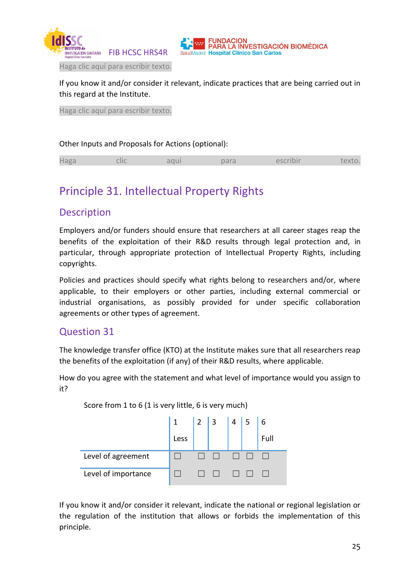



Haga clic aquí para escribir texto.

If you know it and/or consider it relevant, indicate practices that are being carried out in this regard at the Institute.

Haga clic aquí para escribir texto.

#### Other Inputs and Proposals for Actions (optional):

|--|--|--|--|--|--|--|

## Principle 31. Intellectual Property Rights

#### **Description**

Employers and/or funders should ensure that researchers at all career stages reap the benefits of the exploitation of their R&D results through legal protection and, in particular, through appropriate protection of Intellectual Property Rights, including copyrights.

Policies and practices should specify what rights belong to researchers and/or, where applicable, to their employers or other parties, including external commercial or industrial organisations, as possibly provided for under specific collaboration agreements or other types of agreement.

#### Question 31

The knowledge transfer office (KTO) at the Institute makes sure that all researchers reap the benefits of the exploitation (if any) of their R&D results, where applicable.

How do you agree with the statement and what level of importance would you assign to it?

1 Less 2 3 4 5 6 Full Level of agreement  $\Box$   $\Box$   $\Box$   $\Box$   $\Box$   $\Box$ Level of importance  $\Box$   $\Box$   $\Box$   $\Box$   $\Box$   $\Box$   $\Box$ 

Score from 1 to 6 (1 is very little, 6 is very much)

If you know it and/or consider it relevant, indicate the national or regional legislation or the regulation of the institution that allows or forbids the implementation of this principle.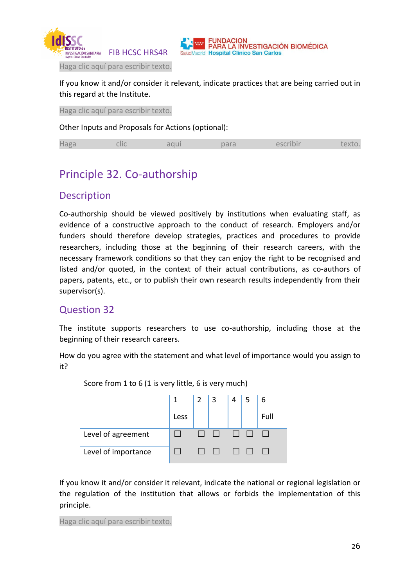



Haga clic aquí para escribir texto.

If you know it and/or consider it relevant, indicate practices that are being carried out in this regard at the Institute.

Haga clic aquí para escribir texto.

Other Inputs and Proposals for Actions (optional):

|--|--|--|--|--|--|--|

## Principle 32. Co-authorship

#### Description

Co-authorship should be viewed positively by institutions when evaluating staff, as evidence of a constructive approach to the conduct of research. Employers and/or funders should therefore develop strategies, practices and procedures to provide researchers, including those at the beginning of their research careers, with the necessary framework conditions so that they can enjoy the right to be recognised and listed and/or quoted, in the context of their actual contributions, as co-authors of papers, patents, etc., or to publish their own research results independently from their supervisor(s).

#### Question 32

The institute supports researchers to use co-authorship, including those at the beginning of their research careers.

How do you agree with the statement and what level of importance would you assign to it?



Score from 1 to 6 (1 is very little, 6 is very much)

If you know it and/or consider it relevant, indicate the national or regional legislation or the regulation of the institution that allows or forbids the implementation of this principle.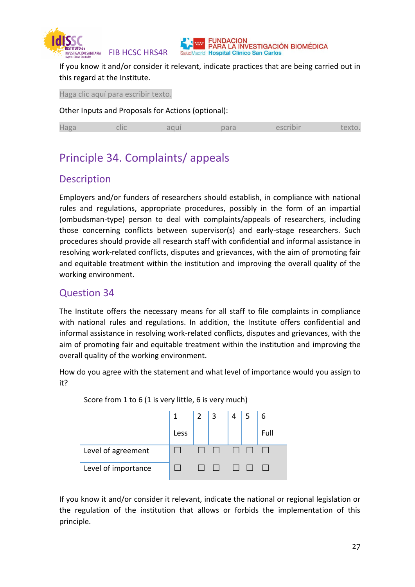

If you know it and/or consider it relevant, indicate practices that are being carried out in this regard at the Institute.

Haga clic aquí para escribir texto.

Other Inputs and Proposals for Actions (optional):

| the company of the company of<br>120 <sup>r</sup><br>$-10-10$<br>u di<br>--- |
|------------------------------------------------------------------------------|
|------------------------------------------------------------------------------|

## Principle 34. Complaints/ appeals

#### **Description**

Employers and/or funders of researchers should establish, in compliance with national rules and regulations, appropriate procedures, possibly in the form of an impartial (ombudsman-type) person to deal with complaints/appeals of researchers, including those concerning conflicts between supervisor(s) and early-stage researchers. Such procedures should provide all research staff with confidential and informal assistance in resolving work-related conflicts, disputes and grievances, with the aim of promoting fair and equitable treatment within the institution and improving the overall quality of the working environment.

#### Question 34

The Institute offers the necessary means for all staff to file complaints in compliance with national rules and regulations. In addition, the Institute offers confidential and informal assistance in resolving work-related conflicts, disputes and grievances, with the aim of promoting fair and equitable treatment within the institution and improving the overall quality of the working environment.

How do you agree with the statement and what level of importance would you assign to it?



Score from 1 to 6 (1 is very little, 6 is very much)

If you know it and/or consider it relevant, indicate the national or regional legislation or the regulation of the institution that allows or forbids the implementation of this principle.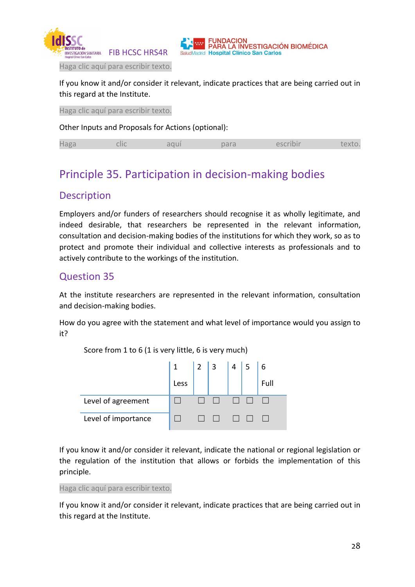



Haga clic aquí para escribir texto.

If you know it and/or consider it relevant, indicate practices that are being carried out in this regard at the Institute.

Haga clic aquí para escribir texto.

Other Inputs and Proposals for Actions (optional):

# Principle 35. Participation in decision-making bodies

#### **Description**

Employers and/or funders of researchers should recognise it as wholly legitimate, and indeed desirable, that researchers be represented in the relevant information, consultation and decision-making bodies of the institutions for which they work, so as to protect and promote their individual and collective interests as professionals and to actively contribute to the workings of the institution.

#### Question 35

At the institute researchers are represented in the relevant information, consultation and decision-making bodies.

How do you agree with the statement and what level of importance would you assign to it?

1 Less 2 3 4 5 6 Full Level of agreement ☐ ☐ ☐ ☐ ☐ ☐ Level of importance  $□ □ □ □ □ □ □ □ □ □ □$ 

Score from 1 to 6 (1 is very little, 6 is very much)

If you know it and/or consider it relevant, indicate the national or regional legislation or the regulation of the institution that allows or forbids the implementation of this principle.

Haga clic aquí para escribir texto.

If you know it and/or consider it relevant, indicate practices that are being carried out in this regard at the Institute.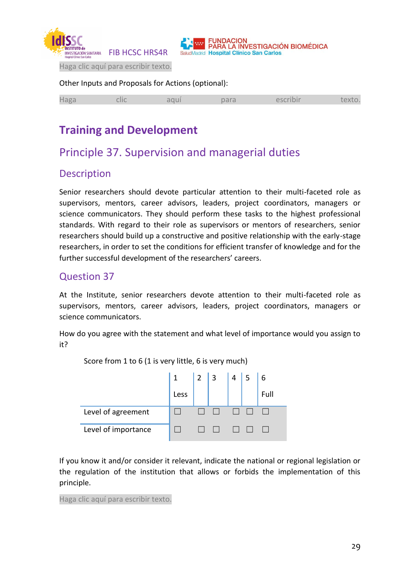



Haga clic aquí para escribir texto.

#### Other Inputs and Proposals for Actions (optional):

| <b>Haga</b> | clic | aqui | para | escribir | textu |
|-------------|------|------|------|----------|-------|
|             |      |      |      |          |       |

# **Training and Development**

## Principle 37. Supervision and managerial duties

#### **Description**

Senior researchers should devote particular attention to their multi-faceted role as supervisors, mentors, career advisors, leaders, project coordinators, managers or science communicators. They should perform these tasks to the highest professional standards. With regard to their role as supervisors or mentors of researchers, senior researchers should build up a constructive and positive relationship with the early-stage researchers, in order to set the conditions for efficient transfer of knowledge and for the further successful development of the researchers' careers.

#### Question 37

At the Institute, senior researchers devote attention to their multi-faceted role as supervisors, mentors, career advisors, leaders, project coordinators, managers or science communicators.

How do you agree with the statement and what level of importance would you assign to it?

|                     | 1    | $\vert$ 2 | $\perp$ 3 | $+4$ <sup>1</sup> |      |
|---------------------|------|-----------|-----------|-------------------|------|
|                     | Less |           |           |                   | Full |
| Level of agreement  |      |           |           |                   |      |
| Level of importance |      |           |           |                   |      |

Score from 1 to 6 (1 is very little, 6 is very much)

If you know it and/or consider it relevant, indicate the national or regional legislation or the regulation of the institution that allows or forbids the implementation of this principle.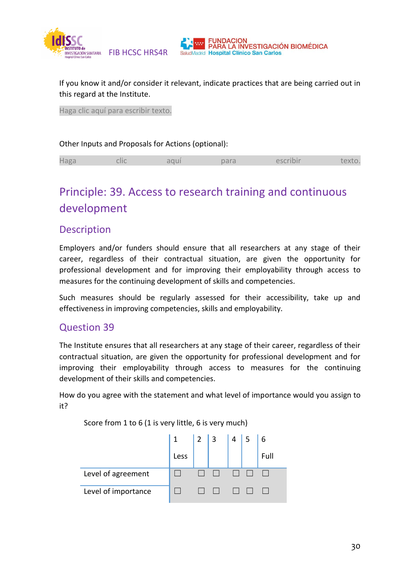

If you know it and/or consider it relevant, indicate practices that are being carried out in this regard at the Institute.

FUNDACION<br>PARA LA INVESTIGACIÓN BIOMÉDICA

Haga clic aquí para escribir texto.

#### Other Inputs and Proposals for Actions (optional):

|  | $H$ agr | Clic |  | <b>COLLANS</b><br>di d |  |  |
|--|---------|------|--|------------------------|--|--|
|--|---------|------|--|------------------------|--|--|

# Principle: 39. Access to research training and continuous development

#### **Description**

Employers and/or funders should ensure that all researchers at any stage of their career, regardless of their contractual situation, are given the opportunity for professional development and for improving their employability through access to measures for the continuing development of skills and competencies.

Such measures should be regularly assessed for their accessibility, take up and effectiveness in improving competencies, skills and employability.

#### Question 39

The Institute ensures that all researchers at any stage of their career, regardless of their contractual situation, are given the opportunity for professional development and for improving their employability through access to measures for the continuing development of their skills and competencies.

How do you agree with the statement and what level of importance would you assign to it?

|                     | $\mathbf{1}$ | 2 | 13 | $\Lambda$ | 6    |
|---------------------|--------------|---|----|-----------|------|
|                     | Less         |   |    |           | Full |
| Level of agreement  |              |   |    |           |      |
| Level of importance |              |   |    |           |      |

Score from 1 to 6 (1 is very little, 6 is very much)